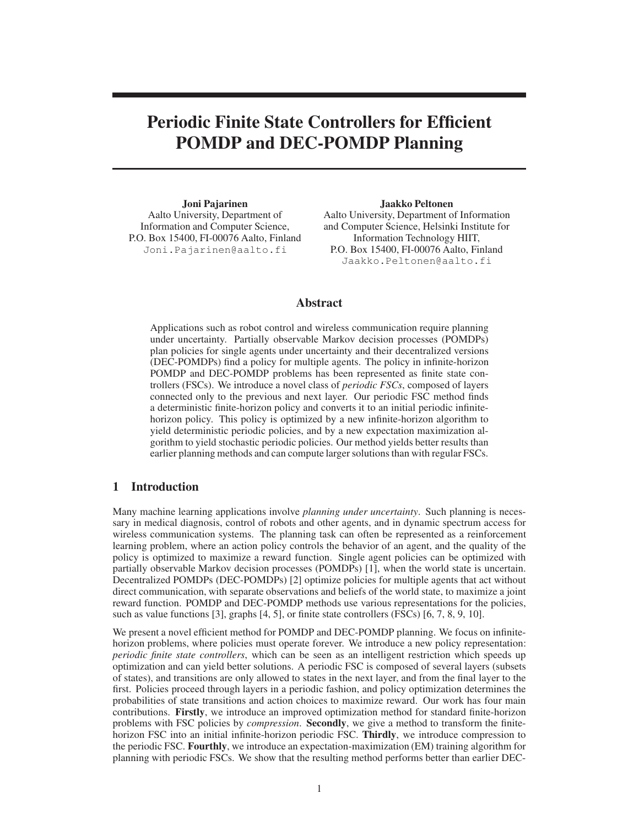# **Periodic Finite State Controllers for Efficient POMDP and DEC-POMDP Planning**

**Joni Pajarinen** Aalto University, Department of Information and Computer Science, P.O. Box 15400, FI-00076 Aalto, Finland Joni.Pajarinen@aalto.fi

**Jaakko Peltonen** Aalto University, Department of Information and Computer Science, Helsinki Institute for Information Technology HIIT, P.O. Box 15400, FI-00076 Aalto, Finland Jaakko.Peltonen@aalto.fi

## **Abstract**

Applications such as robot control and wireless communication require planning under uncertainty. Partially observable Markov decision processes (POMDPs) plan policies for single agents under uncertainty and their decentralized versions (DEC-POMDPs) find a policy for multiple agents. The policy in infinite-horizon POMDP and DEC-POMDP problems has been represented as finite state controllers (FSCs). We introduce a novel class of *periodic FSCs*, composed of layers connected only to the previous and next layer. Our periodic FSC method finds a deterministic finite-horizon policy and converts it to an initial periodic infinitehorizon policy. This policy is optimized by a new infinite-horizon algorithm to yield deterministic periodic policies, and by a new expectation maximization algorithm to yield stochastic periodic policies. Our method yields better results than earlier planning methods and can compute larger solutions than with regular FSCs.

## **1 Introduction**

Many machine learning applications involve *planning under uncertainty*. Such planning is necessary in medical diagnosis, control of robots and other agents, and in dynamic spectrum access for wireless communication systems. The planning task can often be represented as a reinforcement learning problem, where an action policy controls the behavior of an agent, and the quality of the policy is optimized to maximize a reward function. Single agent policies can be optimized with partially observable Markov decision processes (POMDPs) [1], when the world state is uncertain. Decentralized POMDPs (DEC-POMDPs) [2] optimize policies for multiple agents that act without direct communication, with separate observations and beliefs of the world state, to maximize a joint reward function. POMDP and DEC-POMDP methods use various representations for the policies, such as value functions [3], graphs [4, 5], or finite state controllers (FSCs) [6, 7, 8, 9, 10].

We present a novel efficient method for POMDP and DEC-POMDP planning. We focus on infinitehorizon problems, where policies must operate forever. We introduce a new policy representation: *periodic finite state controllers*, which can be seen as an intelligent restriction which speeds up optimization and can yield better solutions. A periodic FSC is composed of several layers (subsets of states), and transitions are only allowed to states in the next layer, and from the final layer to the first. Policies proceed through layers in a periodic fashion, and policy optimization determines the probabilities of state transitions and action choices to maximize reward. Our work has four main contributions. **Firstly**, we introduce an improved optimization method for standard finite-horizon problems with FSC policies by *compression*. **Secondly**, we give a method to transform the finitehorizon FSC into an initial infinite-horizon periodic FSC. **Thirdly**, we introduce compression to the periodic FSC. **Fourthly**, we introduce an expectation-maximization (EM) training algorithm for planning with periodic FSCs. We show that the resulting method performs better than earlier DEC-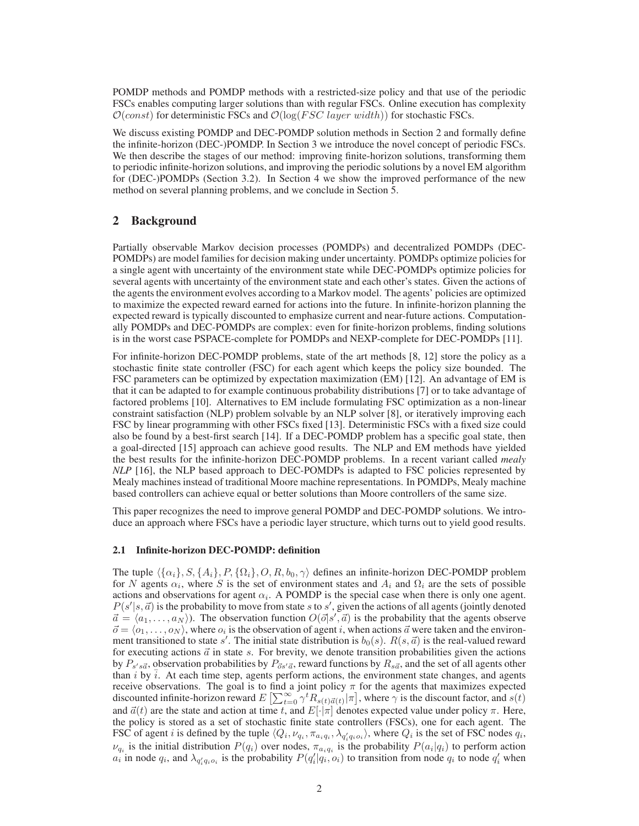POMDP methods and POMDP methods with a restricted-size policy and that use of the periodic FSCs enables computing larger solutions than with regular FSCs. Online execution has complexity  $\mathcal{O}(const)$  for deterministic FSCs and  $\mathcal{O}(\log(FSC \; layer \; width))$  for stochastic FSCs.

We discuss existing POMDP and DEC-POMDP solution methods in Section 2 and formally define the infinite-horizon (DEC-)POMDP. In Section 3 we introduce the novel concept of periodic FSCs. We then describe the stages of our method: improving finite-horizon solutions, transforming them to periodic infinite-horizon solutions, and improving the periodic solutions by a novel EM algorithm for (DEC-)POMDPs (Section 3.2). In Section 4 we show the improved performance of the new method on several planning problems, and we conclude in Section 5.

## **2 Background**

Partially observable Markov decision processes (POMDPs) and decentralized POMDPs (DEC-POMDPs) are model families for decision making under uncertainty. POMDPs optimize policies for a single agent with uncertainty of the environment state while DEC-POMDPs optimize policies for several agents with uncertainty of the environment state and each other's states. Given the actions of the agents the environment evolves according to a Markov model. The agents' policies are optimized to maximize the expected reward earned for actions into the future. In infinite-horizon planning the expected reward is typically discounted to emphasize current and near-future actions. Computationally POMDPs and DEC-POMDPs are complex: even for finite-horizon problems, finding solutions is in the worst case PSPACE-complete for POMDPs and NEXP-complete for DEC-POMDPs [11].

For infinite-horizon DEC-POMDP problems, state of the art methods [8, 12] store the policy as a stochastic finite state controller (FSC) for each agent which keeps the policy size bounded. The FSC parameters can be optimized by expectation maximization (EM) [12]. An advantage of EM is that it can be adapted to for example continuous probability distributions [7] or to take advantage of factored problems [10]. Alternatives to EM include formulating FSC optimization as a non-linear constraint satisfaction (NLP) problem solvable by an NLP solver [8], or iteratively improving each FSC by linear programming with other FSCs fixed [13]. Deterministic FSCs with a fixed size could also be found by a best-first search [14]. If a DEC-POMDP problem has a specific goal state, then a goal-directed [15] approach can achieve good results. The NLP and EM methods have yielded the best results for the infinite-horizon DEC-POMDP problems. In a recent variant called *mealy NLP* [16], the NLP based approach to DEC-POMDPs is adapted to FSC policies represented by Mealy machines instead of traditional Moore machine representations. In POMDPs, Mealy machine based controllers can achieve equal or better solutions than Moore controllers of the same size.

This paper recognizes the need to improve general POMDP and DEC-POMDP solutions. We introduce an approach where FSCs have a periodic layer structure, which turns out to yield good results.

## **2.1 Infinite-horizon DEC-POMDP: definition**

The tuple  $\{\{\alpha_i\}, S, \{A_i\}, P, \{\Omega_i\}, O, R, b_0, \gamma\}$  defines an infinite-horizon DEC-POMDP problem for N agents  $\alpha_i$ , where S is the set of environment states and  $A_i$  and  $\Omega_i$  are the sets of possible actions and observations for agent  $\alpha_i$ . A POMDP is the special case when there is only one agent.  $P(s'|s, \vec{a})$  is the probability to move from state s to s', given the actions of all agents (jointly denoted  $\vec{a} = \langle a_1, \ldots, a_N \rangle$ ). The observation function  $O(\vec{0} | s', \vec{a})$  is the probability that the agents observe  $\vec{o} = \langle o_1, \ldots, o_N \rangle$ , where  $o_i$  is the observation of agent i, when actions  $\vec{a}$  were taken and the environment transitioned to state s'. The initial state distribution is  $b_0(s)$ .  $R(s, \vec{a})$  is the real-valued reward for executing actions  $\vec{a}$  in state s. For brevity, we denote transition probabilities given the actions by  $P_{s's\vec{a}}$ , observation probabilities by  $P_{\vec{a}s'\vec{a}}$ , reward functions by  $R_{s\vec{a}}$ , and the set of all agents other than i by  $\bar{i}$ . At each time step, agents perform actions, the environment state changes, and agents receive observations. The goal is to find a joint policy  $\pi$  for the agents that maximizes expected discounted infinite-horizon reward  $E\left[\sum_{t=0}^{\infty} \gamma^t R_{s(t) \vec{a}(t)}\big| \pi\right]$ , where  $\gamma$  is the discount factor, and  $s(t)$ and  $\vec{a}(t)$  are the state and action at time t, and  $E[\cdot|\pi]$  denotes expected value under policy  $\pi$ . Here, the policy is stored as a set of stochastic finite state controllers (FSCs), one for each agent. The FSC of agent *i* is defined by the tuple  $\langle Q_i, \nu_{q_i}, \pi_{a_i q_i}, \lambda_{q'_i q_i o_i} \rangle$ , where  $Q_i$  is the set of FSC nodes  $q_i$ ,  $\nu_{q_i}$  is the initial distribution  $P(q_i)$  over nodes,  $\pi_{a_i q_i}$  is the probability  $P(a_i|q_i)$  to perform action  $a_i$  in node  $q_i$ , and  $\lambda_{q'_i q_i o_i}$  is the probability  $P(q'_i|q_i, o_i)$  to transition from node  $q_i$  to node  $q'_i$  when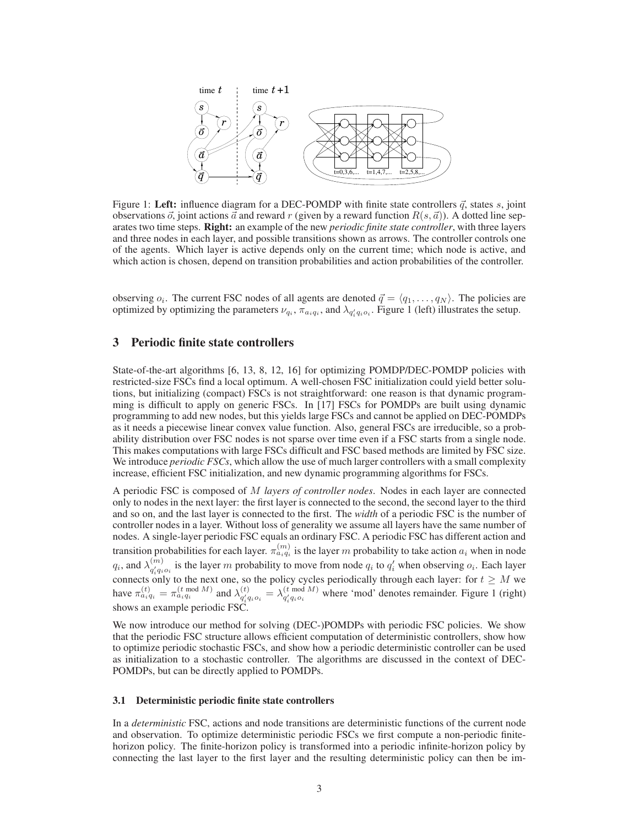

Figure 1: Left: influence diagram for a DEC-POMDP with finite state controllers  $\vec{q}$ , states  $s$ , joint observations  $\vec{o}$ , joint actions  $\vec{a}$  and reward r (given by a reward function  $R(s, \vec{a})$ ). A dotted line separates two time steps. **Right:** an example of the new *periodic finite state controller*, with three layers and three nodes in each layer, and possible transitions shown as arrows. The controller controls one of the agents. Which layer is active depends only on the current time; which node is active, and which action is chosen, depend on transition probabilities and action probabilities of the controller.

observing  $o_i$ . The current FSC nodes of all agents are denoted  $\vec{q} = \langle q_1, \dots, q_N \rangle$ . The policies are optimized by optimizing the parameters  $\nu_{q_i}$ ,  $\pi_{a_i q_i}$ , and  $\lambda_{q'_i q_i o_i}$ . Figure 1 (left) illustrates the setup.

### **3 Periodic finite state controllers**

State-of-the-art algorithms [6, 13, 8, 12, 16] for optimizing POMDP/DEC-POMDP policies with restricted-size FSCs find a local optimum. A well-chosen FSC initialization could yield better solutions, but initializing (compact) FSCs is not straightforward: one reason is that dynamic programming is difficult to apply on generic FSCs. In [17] FSCs for POMDPs are built using dynamic programming to add new nodes, but this yields large FSCs and cannot be applied on DEC-POMDPs as it needs a piecewise linear convex value function. Also, general FSCs are irreducible, so a probability distribution over FSC nodes is not sparse over time even if a FSC starts from a single node. This makes computations with large FSCs difficult and FSC based methods are limited by FSC size. We introduce *periodic FSCs*, which allow the use of much larger controllers with a small complexity increase, efficient FSC initialization, and new dynamic programming algorithms for FSCs.

A periodic FSC is composed of M *layers of controller nodes*. Nodes in each layer are connected only to nodes in the next layer: the first layer is connected to the second, the second layer to the third and so on, and the last layer is connected to the first. The *width* of a periodic FSC is the number of controller nodes in a layer. Without loss of generality we assume all layers have the same number of nodes. A single-layer periodic FSC equals an ordinary FSC. A periodic FSC has different action and transition probabilities for each layer.  $\pi_{a_i q_i}^{(m)}$  is the layer  $m$  probability to take action  $a_i$  when in node  $q_i$ , and  $\lambda_{a' \cdot a_i}^{(m)}$  $\binom{m}{q'_i q_i o_i}$  is the layer m probability to move from node  $q_i$  to  $q'_i$  when observing  $o_i$ . Each layer connects only to the next one, so the policy cycles periodically through each layer: for  $t \geq M$  we have  $\pi_{a_i q_i}^{(t)} = \pi_{a_i q_i}^{(t \mod M)}$  and  $\lambda_{a'_i q_i}^{(t)}$  $\chi_{q'_i q_i o_i}^{(t)} = \lambda_{q'_i q_i o_i}^{(t \mod M)}$  $q'_{i}q_{i}$  where 'mod' denotes remainder. Figure 1 (right) shows an example periodic  $\overrightarrow{FSC}$ .

We now introduce our method for solving (DEC-)POMDPs with periodic FSC policies. We show that the periodic FSC structure allows efficient computation of deterministic controllers, show how to optimize periodic stochastic FSCs, and show how a periodic deterministic controller can be used as initialization to a stochastic controller. The algorithms are discussed in the context of DEC-POMDPs, but can be directly applied to POMDPs.

#### **3.1 Deterministic periodic finite state controllers**

In a *deterministic* FSC, actions and node transitions are deterministic functions of the current node and observation. To optimize deterministic periodic FSCs we first compute a non-periodic finitehorizon policy. The finite-horizon policy is transformed into a periodic infinite-horizon policy by connecting the last layer to the first layer and the resulting deterministic policy can then be im-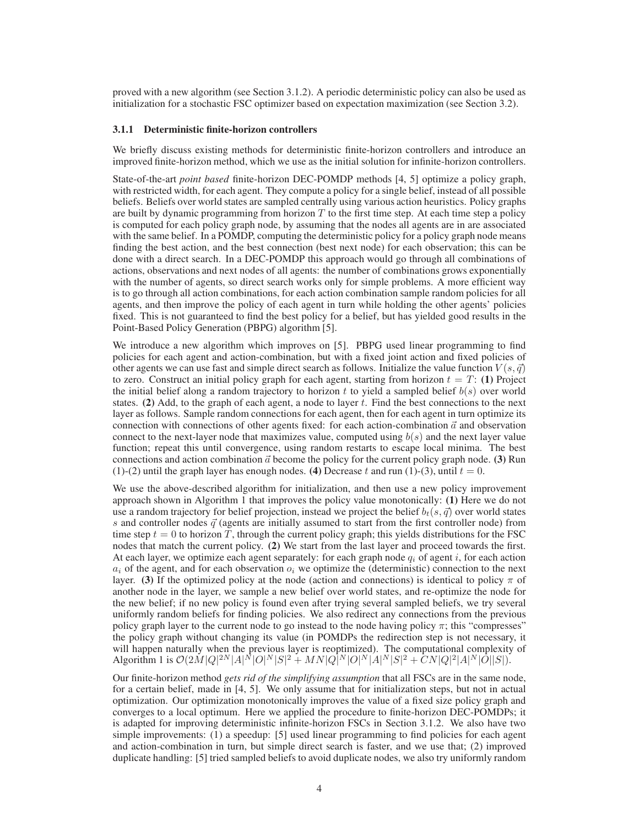proved with a new algorithm (see Section 3.1.2). A periodic deterministic policy can also be used as initialization for a stochastic FSC optimizer based on expectation maximization (see Section 3.2).

#### **3.1.1 Deterministic finite-horizon controllers**

We briefly discuss existing methods for deterministic finite-horizon controllers and introduce an improved finite-horizon method, which we use as the initial solution for infinite-horizon controllers.

State-of-the-art *point based* finite-horizon DEC-POMDP methods [4, 5] optimize a policy graph, with restricted width, for each agent. They compute a policy for a single belief, instead of all possible beliefs. Beliefs over world states are sampled centrally using various action heuristics. Policy graphs are built by dynamic programming from horizon  $T$  to the first time step. At each time step a policy is computed for each policy graph node, by assuming that the nodes all agents are in are associated with the same belief. In a POMDP, computing the deterministic policy for a policy graph node means finding the best action, and the best connection (best next node) for each observation; this can be done with a direct search. In a DEC-POMDP this approach would go through all combinations of actions, observations and next nodes of all agents: the number of combinations grows exponentially with the number of agents, so direct search works only for simple problems. A more efficient way is to go through all action combinations, for each action combination sample random policies for all agents, and then improve the policy of each agent in turn while holding the other agents' policies fixed. This is not guaranteed to find the best policy for a belief, but has yielded good results in the Point-Based Policy Generation (PBPG) algorithm [5].

We introduce a new algorithm which improves on [5]. PBPG used linear programming to find policies for each agent and action-combination, but with a fixed joint action and fixed policies of other agents we can use fast and simple direct search as follows. Initialize the value function  $V(s, \vec{q})$ to zero. Construct an initial policy graph for each agent, starting from horizon  $t = T$ : (1) Project the initial belief along a random trajectory to horizon t to yield a sampled belief  $b(s)$  over world states. (2) Add, to the graph of each agent, a node to layer  $t$ . Find the best connections to the next layer as follows. Sample random connections for each agent, then for each agent in turn optimize its connection with connections of other agents fixed: for each action-combination  $\vec{a}$  and observation connect to the next-layer node that maximizes value, computed using  $b(s)$  and the next layer value function; repeat this until convergence, using random restarts to escape local minima. The best connections and action combination  $\vec{a}$  become the policy for the current policy graph node. **(3)** Run (1)-(2) until the graph layer has enough nodes. **(4)** Decrease t and run (1)-(3), until  $t = 0$ .

We use the above-described algorithm for initialization, and then use a new policy improvement approach shown in Algorithm 1 that improves the policy value monotonically: **(1)** Here we do not use a random trajectory for belief projection, instead we project the belief  $b_t(s, \vec{q})$  over world states s and controller nodes  $\vec{q}$  (agents are initially assumed to start from the first controller node) from time step  $t = 0$  to horizon T, through the current policy graph; this yields distributions for the FSC nodes that match the current policy. **(2)** We start from the last layer and proceed towards the first. At each layer, we optimize each agent separately: for each graph node  $q_i$  of agent i, for each action  $a_i$  of the agent, and for each observation  $o_i$  we optimize the (deterministic) connection to the next layer. **(3)** If the optimized policy at the node (action and connections) is identical to policy  $\pi$  of another node in the layer, we sample a new belief over world states, and re-optimize the node for the new belief; if no new policy is found even after trying several sampled beliefs, we try several uniformly random beliefs for finding policies. We also redirect any connections from the previous policy graph layer to the current node to go instead to the node having policy  $\pi$ ; this "compresses" the policy graph without changing its value (in POMDPs the redirection step is not necessary, it will happen naturally when the previous layer is reoptimized). The computational complexity of Algorithm 1 is  $\mathcal{O}(2M|Q|^{2N}|A|^{\bar{N}}|O|^N|S|^2 + MN|Q|^N|O|^N|A|^N|S|^2 + CN|Q|^2|A|^N|O||S|)$ .

Our finite-horizon method *gets rid of the simplifying assumption* that all FSCs are in the same node, for a certain belief, made in [4, 5]. We only assume that for initialization steps, but not in actual optimization. Our optimization monotonically improves the value of a fixed size policy graph and converges to a local optimum. Here we applied the procedure to finite-horizon DEC-POMDPs; it is adapted for improving deterministic infinite-horizon FSCs in Section 3.1.2. We also have two simple improvements: (1) a speedup: [5] used linear programming to find policies for each agent and action-combination in turn, but simple direct search is faster, and we use that; (2) improved duplicate handling: [5] tried sampled beliefs to avoid duplicate nodes, we also try uniformly random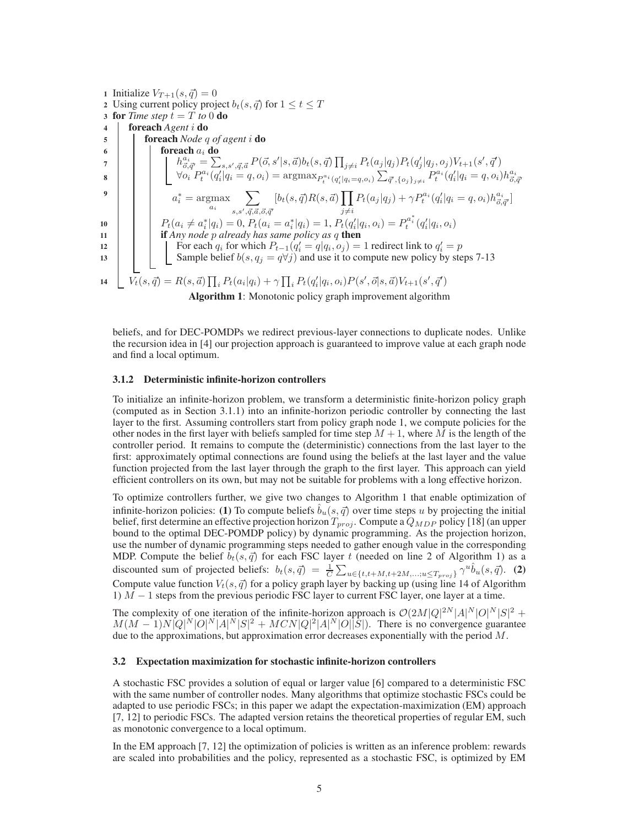**1** Initialize  $V_{T+1}(s, \vec{q}) = 0$ 2 Using current policy project  $b_t(s, \vec{q})$  for  $1 \le t \le T$ **3 for** *Time step*  $t = T$  *to* 0 **do <sup>4</sup> foreach** *Agent* i **do <sup>5</sup> foreach** *Node* q *of agent* i **do <sup>6</sup> foreach** a<sup>i</sup> **do**  $\begin{array}{lll} \hbox{h} & h^{a_i}_{\vec{\sigma},\vec{q}'} = \sum_{s,s',\vec{q},\vec{a}} P(\vec{o},s'|s,\vec{a}) b_t(s,\vec{q}) \prod_{j\neq i} P_t(a_j|q_j) P_t(q'_j|q_j,o_j) V_{t+1}(s',\vec{q}') \end{array}$  $\begin{array}{lllll} \mathbf{g} & \begin{array}{lll} & \end{array} & \begin{array}{lll} & \sqrt{o_i} \ P^{a_i}_t(q'_i|q_i=q,o_i) = \mathrm{argmax}_{P^{a_i}_t(q'_i|q_i=q,o_i)} \sum_{\vec{q}',\{o_j\}_{j\neq i}} P^{a_i}_t(q'_i|q_i=q,o_i) h^{a_i}_{\vec{o},\vec{q}'} \end{array} \end{array}$ **9**  $a_i^* = \underset{a_i}{\operatorname{argmax}}$  $\sum$  $s, s', \vec{q}, \vec{a}, \vec{o}, \vec{q}'$  $[b_t(s, \vec{q})R(s, \vec{a})]$  $j\neq i$  $P_t(a_j|q_j) + \gamma P_t^{a_i}(q'_i|q_i = q, o_i)h_{\vec{o}, \vec{q'}}^{a_i}$  $P_t(a_i \neq a_i^* | q_i) = 0, P_t(a_i = a_i^* | q_i) = 1, P_t(q_i' | q_i, o_i) = P_t^{a_i^*}(q_i' | q_i, o_i)$ **<sup>11</sup> if** *Any node* p *already has same policy as* q **then** 12 **i** For each  $q_i$  for which  $P_{t-1}(q'_i = q | q_i, o_j) = 1$  redirect link to  $q'_i = p$ 13  $\vert$  Sample belief  $b(s, q_j = q \forall j)$  and use it to compute new policy by steps 7-13 14  $\bigcup V_t(s, \vec{q}) = R(s, \vec{a}) \prod_i P_t(a_i|q_i) + \gamma \prod_i P_t(q'_i|q_i, o_i) P(s', \vec{o}|s, \vec{a}) V_{t+1}(s', \vec{q}')$ **Algorithm 1**: Monotonic policy graph improvement algorithm

beliefs, and for DEC-POMDPs we redirect previous-layer connections to duplicate nodes. Unlike the recursion idea in [4] our projection approach is guaranteed to improve value at each graph node and find a local optimum.

#### **3.1.2 Deterministic infinite-horizon controllers**

To initialize an infinite-horizon problem, we transform a deterministic finite-horizon policy graph (computed as in Section 3.1.1) into an infinite-horizon periodic controller by connecting the last layer to the first. Assuming controllers start from policy graph node 1, we compute policies for the other nodes in the first layer with beliefs sampled for time step  $M + 1$ , where M is the length of the controller period. It remains to compute the (deterministic) connections from the last layer to the first: approximately optimal connections are found using the beliefs at the last layer and the value function projected from the last layer through the graph to the first layer. This approach can yield efficient controllers on its own, but may not be suitable for problems with a long effective horizon.

To optimize controllers further, we give two changes to Algorithm 1 that enable optimization of infinite-horizon policies: **(1)** To compute beliefs  $b_u(s, \vec{q})$  over time steps u by projecting the initial belief, first determine an effective projection horizon  $T_{proj}$ . Compute a  $Q_{MDP}$  policy [18] (an upper bound to the optimal DEC-POMDP policy) by dynamic programming. As the projection horizon, use the number of dynamic programming steps needed to gather enough value in the corresponding MDP. Compute the belief  $b_t(s, \vec{q})$  for each FSC layer t (needed on line 2 of Algorithm 1) as a discounted sum of projected beliefs:  $b_t(s, \vec{q}) = \frac{1}{C} \sum_{u \in \{t, t + M, t + 2M, \dots; u \le T_{proj}\}} \gamma^u \hat{b}_u(s, \vec{q})$ . (2) Compute value function  $V_t(s, \vec{q})$  for a policy graph layer by backing up (using line 14 of Algorithm 1)  $\overline{M}$  − 1 steps from the previous periodic FSC layer to current FSC layer, one layer at a time.

The complexity of one iteration of the infinite-horizon approach is  $\mathcal{O}(2M|Q|^{2N}|A|^{N}|O|^{N}|S|^{2} +$  $M(M-1)N[Q]^N|O|^N|A|^N|S|^2 + MCN|Q|^2|A|^N|O|\tilde{S}|$ ). There is no convergence guarantee due to the approximations, but approximation error decreases exponentially with the period  $M$ .

#### **3.2 Expectation maximization for stochastic infinite-horizon controllers**

A stochastic FSC provides a solution of equal or larger value [6] compared to a deterministic FSC with the same number of controller nodes. Many algorithms that optimize stochastic FSCs could be adapted to use periodic FSCs; in this paper we adapt the expectation-maximization (EM) approach [7, 12] to periodic FSCs. The adapted version retains the theoretical properties of regular EM, such as monotonic convergence to a local optimum.

In the EM approach [7, 12] the optimization of policies is written as an inference problem: rewards are scaled into probabilities and the policy, represented as a stochastic FSC, is optimized by EM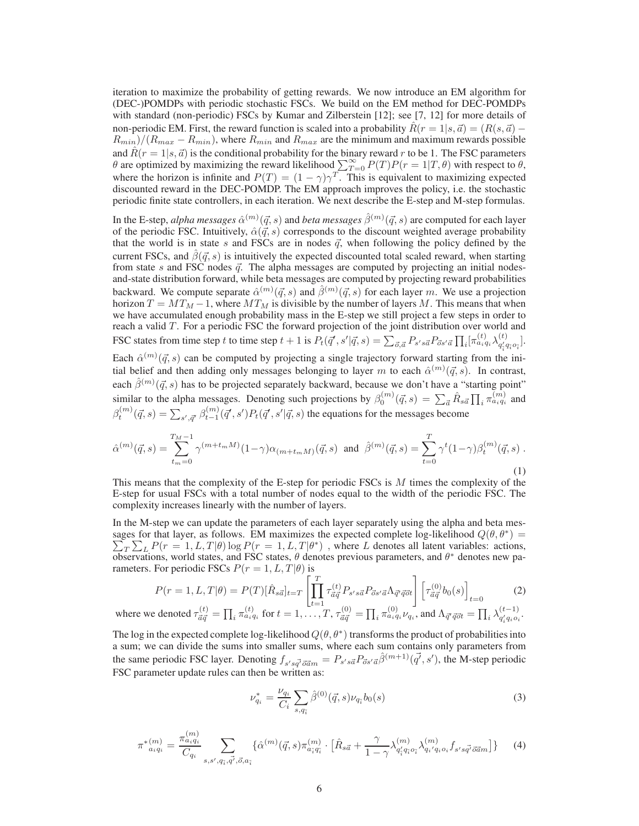iteration to maximize the probability of getting rewards. We now introduce an EM algorithm for (DEC-)POMDPs with periodic stochastic FSCs. We build on the EM method for DEC-POMDPs with standard (non-periodic) FSCs by Kumar and Zilberstein [12]; see [7, 12] for more details of non-periodic EM. First, the reward function is scaled into a probability  $\hat{R}(r = 1 | s, \vec{a}) = (R(s, \vec{a}) - \vec{a})$  $R_{min}/(R_{max} - R_{min})$ , where  $R_{min}$  and  $R_{max}$  are the minimum and maximum rewards possible and  $\hat{R}(r = 1|s, \vec{a})$  is the conditional probability for the binary reward r to be 1. The FSC parameters  $\theta$  are optimized by maximizing the reward likelihood  $\sum_{T=0}^{\infty} P(T)P(r=1|T,\theta)$  with respect to  $\theta$ , where the horizon is infinite and  $P(T) = (1 - \gamma)\gamma^T$ . This is equivalent to maximizing expected discounted reward in the DEC-POMDP. The EM approach improves the policy, i.e. the stochastic periodic finite state controllers, in each iteration. We next describe the E-step and M-step formulas.

In the E-step, *alpha messages*  $\hat{\alpha}^{(m)}(\vec{q},s)$  *and <i>beta messages*  $\hat{\beta}^{(m)}(\vec{q},s)$  *a*re computed for each layer of the periodic FSC. Intuitively,  $\hat{\alpha}(\vec{q}, s)$  corresponds to the discount weighted average probability that the world is in state s and FSCs are in nodes  $\vec{q}$ , when following the policy defined by the current FSCs, and  $\beta(\vec{q}, s)$  is intuitively the expected discounted total scaled reward, when starting from state s and FSC nodes  $\vec{q}$ . The alpha messages are computed by projecting an initial nodesand-state distribution forward, while beta messages are computed by projecting reward probabilities backward. We compute separate  $\hat{\alpha}^{(m)}(\vec{q},s)$  and  $\hat{\beta}^{(m)}(\vec{q},s)$  for each layer m. We use a projection horizon  $T = MT_M - 1$ , where  $MT_M$  is divisible by the number of layers M. This means that when we have accumulated enough probability mass in the E-step we still project a few steps in order to reach a valid  $T$ . For a periodic FSC the forward projection of the joint distribution over world and FSC states from time step t to time step  $t + 1$  is  $P_t(\vec{q}', s' | \vec{q}, s) = \sum_{\vec{o}, \vec{a}} P_{s'\bar{s}\vec{a}} P_{\vec{o}s'\vec{a}} \prod_i [\pi_{a_i q_i}^{(t)} \lambda_{q'_i \vec{a}}^{(t)}]$  $\frac{q'_{\tilde{i}}q_{\tilde{i}}o_{\tilde{i}}}{q_{\tilde{i}}^{\prime}q_{\tilde{i}}o_{\tilde{i}}}.$ 

Each  $\hat{\alpha}^{(m)}(\vec{q},s)$  can be computed by projecting a single trajectory forward starting from the initial belief and then adding only messages belonging to layer m to each  $\hat{\alpha}^{(m)}(\vec{q}, s)$ . In contrast, each  $\hat{\beta}^{(m)}(\vec{q},s)$  has to be projected separately backward, because we don't have a "starting point" similar to the alpha messages. Denoting such projections by  $\beta_0^{(m)}(\vec{q},s) = \sum_{\vec{a}} \hat{R}_{s\vec{a}} \prod_i \pi_{a_i q_i}^{(m)}$  and  $\beta_t^{(m)}(\vec{q},s) = \sum_{s',\vec{q}'} \beta_{t-1}^{(m)}(\vec{q}',s') P_t(\vec{q}',s'|\vec{q},s)$  the equations for the messages become

$$
\hat{\alpha}^{(m)}(\vec{q},s) = \sum_{t_m=0}^{T_M-1} \gamma^{(m+t_mM)}(1-\gamma)\alpha_{(m+t_mM)}(\vec{q},s) \text{ and } \hat{\beta}^{(m)}(\vec{q},s) = \sum_{t=0}^{T} \gamma^t (1-\gamma)\beta_t^{(m)}(\vec{q},s) .
$$
\n(1)

This means that the complexity of the E-step for periodic FSCs is  $M$  times the complexity of the E-step for usual FSCs with a total number of nodes equal to the width of the periodic FSC. The complexity increases linearly with the number of layers.

In the M-step we can update the parameters of each layer separately using the alpha and beta messages for that layer, as follows. EM maximizes the expected complete log-likelihood  $Q(\theta, \theta^*)$  =  $\sum_{T} \sum_{L} P(r = 1, L, T | \theta) \log P(r = 1, L, T | \theta^*)$ , where L denotes all latent variables: actions,  $\overline{\text{obs}}$  observations, world states, and FSC states,  $\theta$  denotes previous parameters, and  $\theta^*$  denotes new parameters. For periodic FSCs  $P(r = 1, L, T | \theta)$  is

$$
P(r=1, L, T|\theta) = P(T)[\hat{R}_{s\vec{a}}]_{t=T} \left[\prod_{t=1}^{T} \tau_{\vec{a}\vec{q}}^{(t)} P_{s's\vec{a}} P_{\vec{a}s'\vec{a}} \Lambda_{\vec{q}'} \vec{q}^{\vec{a}}\right] \left[\tau_{\vec{a}\vec{q}}^{(0)} b_0(s)\right]_{t=0}
$$
(2)

where we denoted 
$$
\tau_{\vec{a}\vec{q}}^{(t)} = \prod_i \pi_{a_i q_i}^{(t)}
$$
 for  $t = 1, \ldots, T$ ,  $\tau_{\vec{a}\vec{q}}^{(0)} = \prod_i \pi_{a_i q_i}^{(0)} \nu_{q_i}$ , and  $\Lambda_{\vec{q}' \vec{q} \vec{o} t} = \prod_i \lambda_{q'_i q_i o_i}^{(t-1)}$ .

The log in the expected complete log-likelihood  $Q(\theta, \theta^*)$  transforms the product of probabilities into a sum; we can divide the sums into smaller sums, where each sum contains only parameters from the same periodic FSC layer. Denoting  $f_{s's\vec{q'}\vec{\sigma}\vec{a}m} = P_{s's\vec{a}}P_{\vec{\sigma}s'\vec{a}}\hat{\beta}^{(m+1)}(\vec{q'},s')$ , the M-step periodic FSC parameter update rules can then be written as:

$$
\nu_{q_i}^* = \frac{\nu_{q_i}}{C_i} \sum_{s,q_i^-} \hat{\beta}^{(0)}(\vec{q},s) \nu_{q_i^-} b_0(s)
$$
\n(3)

$$
\pi^{*(m)}_{a_i q_i} = \frac{\pi^{(m)}_{a_i q_i}}{C_{q_i}} \sum_{s, s', q_i, \vec{q'}, \vec{o}, a_i} \{ \hat{\alpha}^{(m)}(\vec{q}, s) \pi^{(m)}_{a_i q_i} \cdot \left[ \hat{R}_{s\vec{a}} + \frac{\gamma}{1 - \gamma} \lambda^{(m)}_{q_i' q_i o_i} \lambda^{(m)}_{q_i' q_i o_i} f_{s's \vec{q'}} \vec{\sigma}^{\vec{a}}_{q\vec{n}} \right] \} \tag{4}
$$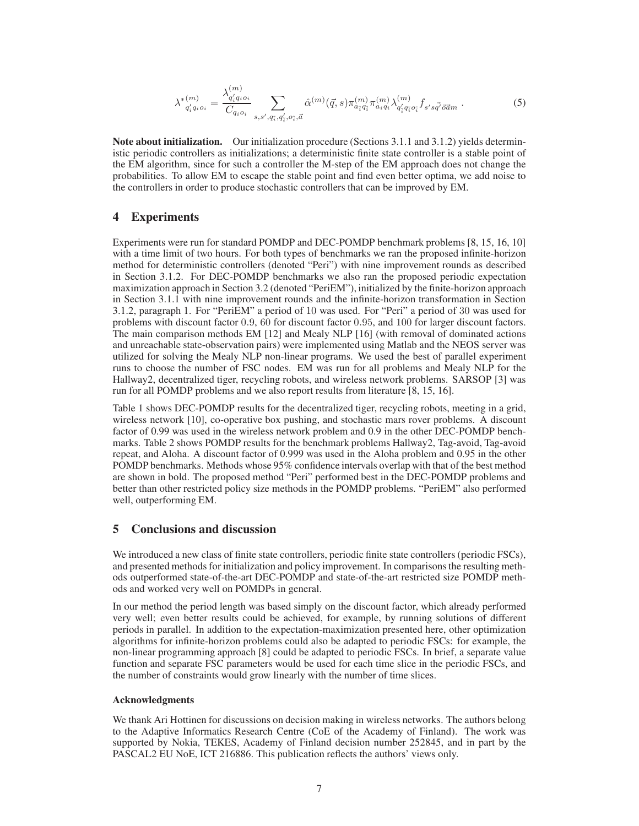$$
\lambda^{*(m)}_{q'_i q_i o_i} = \frac{\lambda_{q'_i q_i o_i}^{(m)}}{C_{q_i o_i}} \sum_{s, s', q_i, q'_i, o_i, \vec{a}} \hat{\alpha}^{(m)}(\vec{q}, s) \pi_{a_i q_i}^{(m)} \pi_{a_i q_i}^{(m)} \lambda_{q'_i q_i o_i}^{(m)} f_{s'sq'} \vec{\sigma}_{\vec{a}m} . \tag{5}
$$

**Note about initialization.** Our initialization procedure (Sections 3.1.1 and 3.1.2) yields deterministic periodic controllers as initializations; a deterministic finite state controller is a stable point of the EM algorithm, since for such a controller the M-step of the EM approach does not change the probabilities. To allow EM to escape the stable point and find even better optima, we add noise to the controllers in order to produce stochastic controllers that can be improved by EM.

## **4 Experiments**

Experiments were run for standard POMDP and DEC-POMDP benchmark problems [8, 15, 16, 10] with a time limit of two hours. For both types of benchmarks we ran the proposed infinite-horizon method for deterministic controllers (denoted "Peri") with nine improvement rounds as described in Section 3.1.2. For DEC-POMDP benchmarks we also ran the proposed periodic expectation maximization approach in Section 3.2 (denoted "PeriEM"), initialized by the finite-horizon approach in Section 3.1.1 with nine improvement rounds and the infinite-horizon transformation in Section 3.1.2, paragraph 1. For "PeriEM" a period of 10 was used. For "Peri" a period of 30 was used for problems with discount factor 0.9, 60 for discount factor 0.95, and 100 for larger discount factors. The main comparison methods EM [12] and Mealy NLP [16] (with removal of dominated actions and unreachable state-observation pairs) were implemented using Matlab and the NEOS server was utilized for solving the Mealy NLP non-linear programs. We used the best of parallel experiment runs to choose the number of FSC nodes. EM was run for all problems and Mealy NLP for the Hallway2, decentralized tiger, recycling robots, and wireless network problems. SARSOP [3] was run for all POMDP problems and we also report results from literature [8, 15, 16].

Table 1 shows DEC-POMDP results for the decentralized tiger, recycling robots, meeting in a grid, wireless network [10], co-operative box pushing, and stochastic mars rover problems. A discount factor of 0.99 was used in the wireless network problem and 0.9 in the other DEC-POMDP benchmarks. Table 2 shows POMDP results for the benchmark problems Hallway2, Tag-avoid, Tag-avoid repeat, and Aloha. A discount factor of 0.999 was used in the Aloha problem and 0.95 in the other POMDP benchmarks. Methods whose 95% confidence intervals overlap with that of the best method are shown in bold. The proposed method "Peri" performed best in the DEC-POMDP problems and better than other restricted policy size methods in the POMDP problems. "PeriEM" also performed well, outperforming EM.

## **5 Conclusions and discussion**

We introduced a new class of finite state controllers, periodic finite state controllers (periodic FSCs), and presented methods for initialization and policy improvement. In comparisons the resulting methods outperformed state-of-the-art DEC-POMDP and state-of-the-art restricted size POMDP methods and worked very well on POMDPs in general.

In our method the period length was based simply on the discount factor, which already performed very well; even better results could be achieved, for example, by running solutions of different periods in parallel. In addition to the expectation-maximization presented here, other optimization algorithms for infinite-horizon problems could also be adapted to periodic FSCs: for example, the non-linear programming approach [8] could be adapted to periodic FSCs. In brief, a separate value function and separate FSC parameters would be used for each time slice in the periodic FSCs, and the number of constraints would grow linearly with the number of time slices.

#### **Acknowledgments**

We thank Ari Hottinen for discussions on decision making in wireless networks. The authors belong to the Adaptive Informatics Research Centre (CoE of the Academy of Finland). The work was supported by Nokia, TEKES, Academy of Finland decision number 252845, and in part by the PASCAL2 EU NoE, ICT 216886. This publication reflects the authors' views only.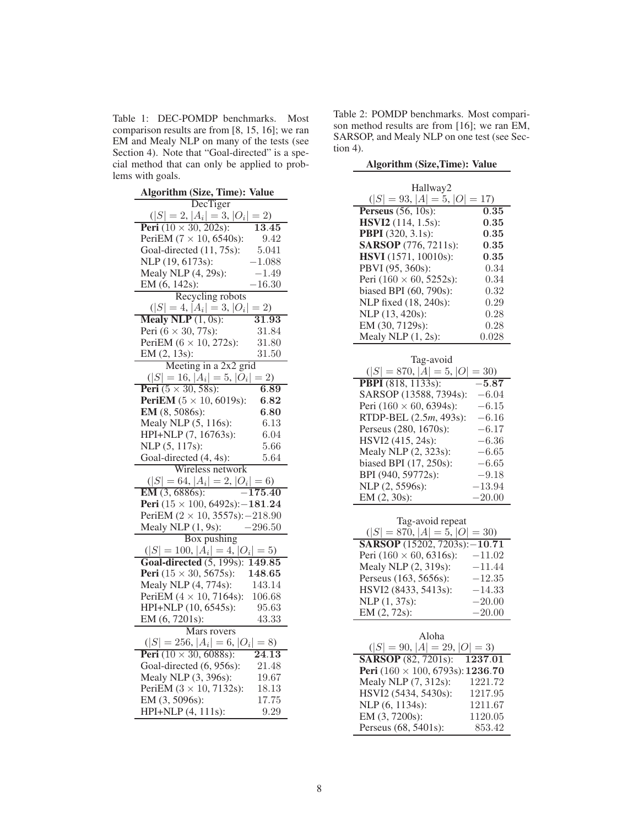Table 1: DEC-POMDP benchmarks. Most comparison results are from [8, 15, 16]; we ran EM and Mealy NLP on many of the tests (see Section 4). Note that "Goal-directed" is a special method that can only be applied to problems with goals.

| <b>Algorithm (Size, Time): Value</b>                        |  |  |
|-------------------------------------------------------------|--|--|
| DecTiger                                                    |  |  |
| $( S =2,  A_i =3,  O_i $<br>$= 2)$                          |  |  |
| <b>Peri</b> $(10 \times 30, 202s)$ :<br>13.45               |  |  |
| PeriEM $(7 \times 10, 6540s)$ :<br>9.42                     |  |  |
| Goal-directed (11, 75s):<br>5.041                           |  |  |
| NLP (19, 6173s):<br>$\text{--}1.088$                        |  |  |
| Mealy NLP (4, 29s):<br>$-1.49$                              |  |  |
| EM (6, 142s):<br>$-16.30$                                   |  |  |
| Recycling robots                                            |  |  |
| $( S =4,  A_i =3,  O_i $<br>$= 2)$                          |  |  |
| Mealy NLP $(1, 0s)$ :<br>$\overline{31.93}$                 |  |  |
| Peri $(6 \times 30, 77s)$ :<br>31.84                        |  |  |
| PeriEM $(6 \times 10, 272s)$ :<br>31.80                     |  |  |
| EM (2, 13s):<br>31.50                                       |  |  |
| Meeting in a 2x2 grid                                       |  |  |
| $( S =16,  A_i =5,  O_i $<br>$= 2)$                         |  |  |
| <b>Peri</b> $(5 \times 30, 58s)$ :<br>6.89                  |  |  |
| <b>PeriEM</b> $(5 \times 10, 6019s)$ :<br>6.82              |  |  |
| EM (8, 5086s):<br>6.80                                      |  |  |
| Mealy NLP (5, 116s):<br>6.13                                |  |  |
| HPI+NLP (7, 16763s):<br>$6.04\,$                            |  |  |
| NLP (5, 117s):<br>5.66                                      |  |  |
| Goal-directed (4, 4s):<br>5.64                              |  |  |
| Wireless network                                            |  |  |
| $( S  = 64,  A_i  = 2,  O_i  = 6)$                          |  |  |
| EM (3, 6886s):<br>$\overline{-175.40}$                      |  |  |
| Peri $(15 \times 100, 6492s)$ : -181.24                     |  |  |
| PeriEM $(2 \times 10, 3557s)$ : -218.90                     |  |  |
| $-296.50$<br>Mealy NLP (1, 9s):                             |  |  |
| Box pushing                                                 |  |  |
| $( S  = 100,  A_i  = 4,  O_i  = 5)$                         |  |  |
| Goal-directed $(5, 199s)$ :<br>$\overline{149.85}$          |  |  |
| <b>Peri</b> $(15 \times 30, 5675s)$ :<br>148.65             |  |  |
| Mealy NLP (4, 774s):<br>143.14                              |  |  |
| PeriEM $(4 \times 10, 7164s)$ :<br>106.68                   |  |  |
| HPI+NLP (10, 6545s):<br>95.63                               |  |  |
| EM (6, 7201s):<br>43.33                                     |  |  |
| Mars rovers                                                 |  |  |
| $( S =256,  A_i =6,  O_i =8)$                               |  |  |
| <b>Peri</b> $(10 \times 30, 6088s)$ :<br>$\overline{24.13}$ |  |  |
| Goal-directed (6, 956s):<br>21.48                           |  |  |
| Mealy NLP (3, 396s):<br>19.67                               |  |  |
| 18.13<br>PeriEM $(3 \times 10, 7132s)$ :                    |  |  |
|                                                             |  |  |
| EM (3, 5096s):<br>17.75<br>HPI+NLP (4, 111s):<br>9.29       |  |  |

Table 2: POMDP benchmarks. Most comparison method results are from [16]; we ran EM, SARSOP, and Mealy NLP on one test (see Section 4).

| Hallway2                                                 |                   |  |
|----------------------------------------------------------|-------------------|--|
| $( S  = 93,  A  = 5,  O  = 17)$                          |                   |  |
| Perseus $(56, 10s)$ :                                    | $\overline{0.35}$ |  |
| HSVI2 (114, 1.5s):                                       | 0.35              |  |
| <b>PBPI</b> (320, 3.1s):                                 | 0.35              |  |
| <b>SARSOP</b> (776, 7211s):                              | 0.35              |  |
| HSVI (1571, 10010s):                                     | 0.35              |  |
| PBVI (95, 360s):                                         | 0.34              |  |
| Peri $(160 \times 60, 5252s)$ :                          | 0.34              |  |
| biased BPI (60, 790s):                                   | 0.32              |  |
| NLP fixed (18, 240s):                                    | 0.29              |  |
| NLP (13, 420s):                                          | 0.28              |  |
| EM (30, 7129s):                                          | 0.28              |  |
| Mealy NLP (1, 2s):                                       | 0.028             |  |
|                                                          |                   |  |
| Tag-avoid                                                |                   |  |
| $( S =870,  A =5,  O =30)$                               |                   |  |
| <b>PBPI</b> (818, 1133s):                                | $-5.87$           |  |
| SARSOP (13588, 7394s):                                   | $-6.04$           |  |
| Peri $(160 \times 60, 6394s)$ :                          | $-6.15$           |  |
| RTDP-BEL (2.5m, 493s):                                   | $-6.16$           |  |
| Perseus (280, 1670s):                                    | $-6.17$           |  |
| HSVI2 (415, 24s):                                        | $-6.36$           |  |
| Mealy NLP (2, 323s):                                     | $-6.65$           |  |
| biased BPI (17, 250s):                                   | $-6.65$           |  |
| BPI (940, 59772s):                                       | $-9.18$           |  |
| NLP (2, 5596s):                                          | $-13.94$          |  |
| EM (2, 30s):                                             | $-20.00$          |  |
|                                                          |                   |  |
| Tag-avoid repeat<br>$( S  = 870,  A  = 5,  O $<br>$= 30$ |                   |  |
| <b>SARSOP</b> (15202, 7203s):                            | $-10.71$          |  |
| Peri $(160 \times 60, 6316s)$ :                          | $-11.02$          |  |
| Mealy NLP (2, 319s):                                     | $-11.44$          |  |
| Perseus (163, 5656s):                                    | $-12.35$          |  |
| HSVI2 (8433, 5413s):                                     | $-14.33$          |  |
| NLP (1, 37s):                                            | $-20.00$          |  |
| EM (2, 72s):                                             | $-20.00$          |  |
|                                                          |                   |  |
| Aloha                                                    |                   |  |
| $( S  = 90,  A  = 29,$<br>$ O =3$                        |                   |  |
| <b>SARSOP</b> (82, 7201s):                               | 1237.01           |  |
| Peri $(160 \times 100, 6793s)$ : 1236.70                 |                   |  |
| Mealy NLP (7, 312s):                                     | 1221.72           |  |
| HSVI2 (5434, 5430s):                                     | 1217.95           |  |
| NLP (6, 1134s):                                          | 1211.67           |  |
| EM (3, 7200s):                                           | 1120.05           |  |
| Perseus (68, 5401s):                                     | 853.42            |  |

**Algorithm (Size,Time): Value**